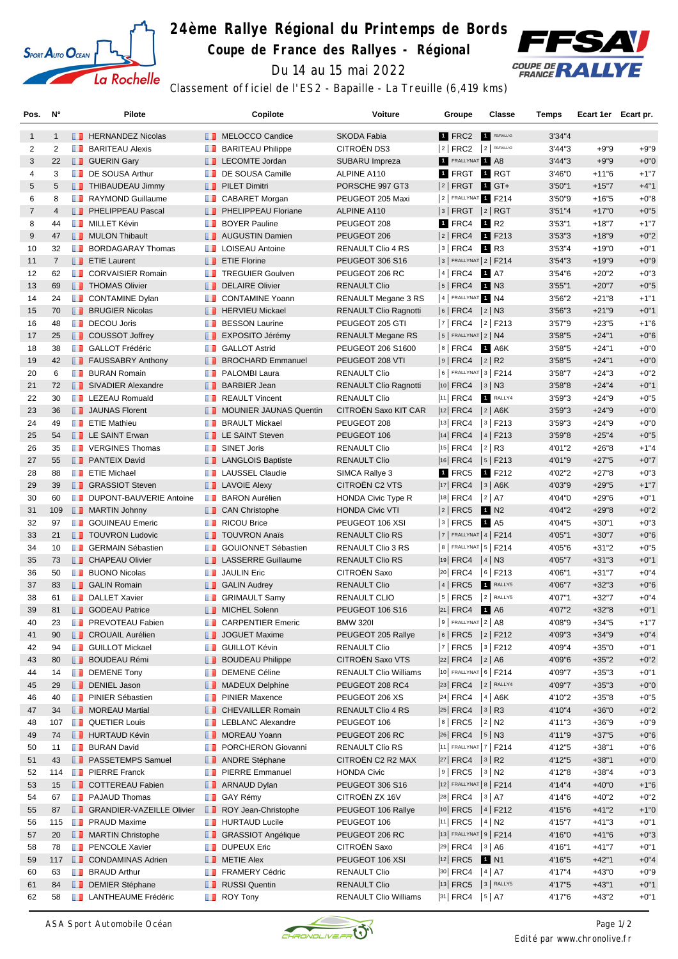

## **24ème Rallye Régional du Printemps de Bords**

**Coupe de France des Rallyes - Régional**



Du 14 au 15 mai 2022

Classement officiel de l'ES2 - Bapaille - La Treuille (6,419 kms)

| Pos.           | Ν°             |    | Pilote                           |                   | Copilote                      | <b>Voiture</b>               | Groupe                   | Classe           | Temps   | Ecart 1er Ecart pr. |        |
|----------------|----------------|----|----------------------------------|-------------------|-------------------------------|------------------------------|--------------------------|------------------|---------|---------------------|--------|
| $\mathbf{1}$   | $\mathbf{1}$   |    | <b>FERNANDEZ Nicolas</b>         |                   | <b>NELOCCO</b> Candice        | SKODA Fabia                  | 1 FRC2                   | R5/RALLY2        | 3'34''4 |                     |        |
| 2              | 2              |    | <b>BARITEAU Alexis</b>           |                   | <b>BARITEAU Philippe</b>      | <b>CITROËN DS3</b>           | $2$ FRC2 $2$ R5/RALLY2   |                  | 3'44"3  | $+9"9$              | $+9"9$ |
| 3              | 22             |    | <b>B</b> GUERIN Gary             | ш                 | <b>LECOMTE Jordan</b>         | SUBARU Impreza               | 1 FRALLYNAT 1 A8         |                  | 3'44''3 | $+9"9$              | $+0"0$ |
| 4              | 3              | ш  | DE SOUSA Arthur                  | m                 | DE SOUSA Camille              | ALPINE A110                  | 1 FRGT 1 RGT             |                  | 3'46"0  | $+11"6$             | $+1"7$ |
| 5              | 5              |    | <b>THIBAUDEAU Jimmy</b>          |                   | <b>PILET Dimitri</b>          | PORSCHE 997 GT3              | 2 FRGT 1 GT+             |                  | 3'50''1 | $+15"7$             | $+4"1$ |
| 6              | 8              | m  | <b>RAYMOND Guillaume</b>         | <b>TELEVISION</b> | <b>CABARET Morgan</b>         | PEUGEOT 205 Maxi             | 2 FRALLYNAT 1 F214       |                  | 3'50"9  | $+16"5$             | $+0"8$ |
| $\overline{7}$ | $\overline{4}$ |    | <b>FELIPPEAU Pascal</b>          |                   | <b>PHELIPPEAU Floriane</b>    | ALPINE A110                  | 3   FRGT  2   RGT        |                  | 3'51''4 | $+17"0$             | $+0"5$ |
| 8              | 44             |    | <b>NILLET Kévin</b>              | m                 | <b>BOYER Pauline</b>          | PEUGEOT 208                  | 1 FRC4                   | 1 R <sub>2</sub> | 3'53''1 | $+18"7$             | $+1"7$ |
| 9              | 47             |    | MULON Thibault                   |                   | <b>AUGUSTIN Damien</b>        | PEUGEOT 206                  | $ 2 $ FRC4               | 1 F213           | 3'53''3 | $+18"9$             | $+0"2$ |
| 10             | 32             | ш  | <b>BORDAGARAY Thomas</b>         | O                 | <b>LOISEAU Antoine</b>        | <b>RENAULT Clio 4 RS</b>     | $ 3 $ FRC4               | 1 R3             | 3'53"4  | $+19"0$             | $+0"1$ |
| 11             | $\overline{7}$ |    | <b>T</b> ETIE Laurent            |                   | <b>Example 7</b> ETIE Florine | <b>PEUGEOT 306 S16</b>       | $3$ FRALLYNAT $2$ F214   |                  | 3'54''3 | $+19"9$             | $+0"9$ |
| 12             | 62             | ш  | <b>CORVAISIER Romain</b>         |                   | <b>TREGUIER Goulven</b>       | PEUGEOT 206 RC               | 4   FRC4                 | 1 A7             | 3'54"6  | $+20"2$             | $+0"3$ |
| 13             | 69             |    | <b>THOMAS Olivier</b>            |                   | <b>DELAIRE Olivier</b>        | <b>RENAULT Clio</b>          | 5   FRC4                 | <b>1</b> N3      | 3'55"1  | $+20"7$             | $+0"5$ |
| 14             | 24             |    | CONTAMINE Dylan                  | <b>II</b>         | <b>CONTAMINE Yoann</b>        | RENAULT Megane 3 RS          | 4 FRALLYNAT 1 N4         |                  | 3'56"2  | $+21"8$             | $+1"1$ |
| 15             | 70             |    | <b>BRUGIER Nicolas</b>           |                   | <b>FERVIEU Mickael</b>        | <b>RENAULT Clio Ragnotti</b> | $ 6 $ FRC4 $ 2 $ N3      |                  | 3'56"3  | $+21"9$             | $+0"1$ |
| 16             | 48             |    | DECOU Joris                      | ш                 | <b>BESSON Laurine</b>         | PEUGEOT 205 GTI              | $ 7 $ FRC4               | $ 2 $ F213       | 3'57"9  | $+23"5$             | $+1"6$ |
| 17             | 25             |    | COUSSOT Joffrey                  |                   | <b>EXPOSITO Jérémy</b>        | <b>RENAULT Megane RS</b>     | $5$ FRALLYNAT $2$ N4     |                  | 3'58"5  | $+24"1$             | $+0"6$ |
| 18             | 38             | ш  | <b>GALLOT Frédéric</b>           | m                 | <b>GALLOT Astrid</b>          | PEUGEOT 206 S1600            | $ 8 $ FRC4               | 1 A6K            | 3'58"5  | $+24"1$             | $+0"0$ |
| 19             | 42             |    | <b>FAUSSABRY Anthony</b>         |                   | <b>BROCHARD Emmanuel</b>      | PEUGEOT 208 VTI              | $ 9 $ FRC4 $ 2 $ R2      |                  | 3'58"5  | $+24"1$             | $+0"0$ |
| 20             | 6              |    | <b>BURAN Romain</b>              | m                 | PALOMBI Laura                 | <b>RENAULT Clio</b>          | 6   FRALLYNAT 3   F214   |                  | 3'58"7  | $+24"3$             | $+0"2$ |
| 21             | 72             |    | SIVADIER Alexandre               |                   | <b>BARBIER Jean</b>           | <b>RENAULT Clio Ragnotti</b> | $ 10 $ FRC4 $ 3 $ N3     |                  | 3'58"8  | $+24"4$             | $+0"1$ |
| 22             | 30             |    | <b>EXECUED</b> LEZEAU Romuald    | п.                | <b>REAULT Vincent</b>         | <b>RENAULT Clio</b>          | $ 11 $ FRC4              | 1 RALLY4         | 3'59"3  | $+24"9$             | $+0"5$ |
| 23             | 36             |    | JAUNAS Florent                   | ш                 | <b>MOUNIER JAUNAS Quentin</b> | CITROËN Saxo KIT CAR         | $ 12 $ FRC4 $ 2 $ A6K    |                  | 3'59''3 | $+24"9$             | $+0"0$ |
| 24             | 49             | ш  | <b>ETIE Mathieu</b>              | ш                 | <b>BRAULT Mickael</b>         | PEUGEOT 208                  | $ 13 $ FRC4              | $3$ F213         | 3'59"3  | $+24"9$             | $+0"0$ |
| 25             | 54             |    | <b>LE SAINT Erwan</b>            |                   | <b>EXAINT Steven</b>          | PEUGEOT 106                  | $ 14 $ FRC4 $ 4 $ F213   |                  | 3'59"8  | $+25"4$             | $+0"5$ |
| 26             | 35             |    | <b>TE</b> VERGINES Thomas        | m                 | <b>SINET Joris</b>            | <b>RENAULT Clio</b>          | 15 FRC4                  | $ 2 $ R3         | 4'01"2  | $+26"8$             | $+1"4$ |
| 27             | 55             |    | <b>PANTEIX David</b>             |                   | <b>LANGLOIS Baptiste</b>      | <b>RENAULT Clio</b>          | $ 16 $ FRC4              | $ 5 $ F213       | 4'01"9  | $+27"5$             | $+0"7$ |
| 28             | 88             |    | <b>FETIE Michael</b>             |                   | <b>LAUSSEL Claudie</b>        | SIMCA Rallye 3               | 1 FRC5                   | 1 F212           | 4'02"2  | $+27"8$             | $+0"3$ |
| 29             | 39             |    | <b>B</b> GRASSIOT Steven         |                   |                               | CITROEN C2 VTS               | $ 17 $ FRC4              | $ 3 $ A6K        | 4'03"9  | $+29"5$             | $+1"7$ |
|                |                |    | DUPONT-BAUVERIE Antoine          |                   | <b>LAVOIE Alexy</b>           |                              |                          |                  |         | $+29"6$             | $+0"1$ |
| 30             | 60             | ш  |                                  | m                 | <b>BARON Aurélien</b>         | <b>HONDA Civic Type R</b>    | $ 18 $ FRC4              | 2 A7             | 4'04"0  |                     |        |
| 31             | 109            |    | MARTIN Johnny                    |                   | <b>CAN Christophe</b>         | <b>HONDA Civic VTI</b>       | $ 2 $ FRC5               | 1 N2             | 4'04"2  | $+29"8$             | $+0"2$ |
| 32             | 97             | m. | <b>GOUINEAU Emeric</b>           | m                 | <b>RICOU Brice</b>            | PEUGEOT 106 XSI              | 3   FRC5                 | 1 A <sub>5</sub> | 4'04"5  | $+30"1$             | $+0"3$ |
| 33             | 21             |    | <b>TOUVRON Ludovic</b>           |                   | <b>TOUVRON Anaïs</b>          | <b>RENAULT Clio RS</b>       | $7$ FRALLYNAT 4   F214   |                  | 4'05"1  | $+30"7$             | $+0"6$ |
| 34             | 10             |    | <b>BERMAIN Sébastien</b>         | п.                | <b>GOUIONNET Sébastien</b>    | RENAULT Clio 3 RS            | 8   FRALLYNAT   5   F214 |                  | 4'05"6  | $+31"2$             | $+0"5$ |
| 35             | 73             |    | <b>CHAPEAU Olivier</b>           |                   | <b>I</b> LASSERRE Guillaume   | <b>RENAULT Clio RS</b>       | $ 19 $ FRC4 $ 4 $ N3     |                  | 4'05"7  | $+31"3$             | $+0"1$ |
| 36             | 50             | ш  | <b>BUONO Nicolas</b>             | п.                | <b>JAULIN Eric</b>            | CITROËN Saxo                 | $ 20 $ FRC4              | $ 6 $ F213       | 4'06"1  | $+31"7$             | $+0"4$ |
| 37             | 83             |    | <b>B</b> GALIN Romain            |                   | <b>B</b> GALIN Audrey         | <b>RENAULT Clio</b>          | 4 FRC5                   | RALLY5           | 4'06"7  | $+32"3$             | $+0"6$ |
| 38             | 61             | w  | <b>DALLET Xavier</b>             |                   | <b>GRIMAULT Samy</b>          | <b>RENAULT CLIO</b>          | 5   FRC5                 | 2 RALLY5         | 4'07"1  | $+32"7$             | $+0"4$ |
| 39             | 81             |    | <b>B</b> GODEAU Patrice          |                   | <b>NICHEL Solenn</b>          | <b>PEUGEOT 106 S16</b>       | $ 21 $ FRC4              | 1 A6             | 4'07"2  | $+32"8$             | $+0"1$ |
| 40             | 23             |    | <b>PREVOTEAU Fabien</b>          |                   | <b>CARPENTIER Emeric</b>      | <b>BMW 320I</b>              | $9$ Frallynat $2$ A8     |                  | 4'08"9  | $+34"5$             | $+1"7$ |
| 41             | 90             |    | <b>CROUAIL Aurélien</b>          |                   | JOGUET Maxime                 | PEUGEOT 205 Rallye           | 6 FRC5 2 F212            |                  | 4'09"3  | $+34"9$             | $+0"4$ |
| 42             | 94             |    | <b>GUILLOT Mickael</b>           |                   | <b>B</b> GUILLOT Kévin        | <b>RENAULT Clio</b>          | $ 7 $ FRC5 $ 3 $ F212    |                  | 4'09"4  | $+35"0$             | $+0"1$ |
| 43             | 80             |    | <b>BOUDEAU Rémi</b>              | ш                 | <b>BOUDEAU Philippe</b>       | CITROEN Saxo VTS             | $ 22 $ FRC4 $ 2 $ A6     |                  | 4'09"6  | $+35"2$             | $+0"2$ |
| 44             | 14             | ш  | <b>DEMENE Tony</b>               | m                 | <b>DEMENE Céline</b>          | <b>RENAULT Clio Williams</b> | 10 FRALLYNAT 6   F214    |                  | 4'09"7  | $+35"3$             | $+0"1$ |
| 45             | 29             |    | DENIEL Jason                     |                   | <b>MADEUX Delphine</b>        | PEUGEOT 208 RC4              | 23 FRC4 2 RALLY4         |                  | 4'09"7  | $+35"3$             | $+0"0$ |
| 46             | 40             | ш  | <b>PINIER Sébastien</b>          | w                 | <b>PINIER Maxence</b>         | PEUGEOT 206 XS               | $ 24 $ FRC4 $ 4 $ A6K    |                  | 4'10"2  | $+35"8$             | $+0"5$ |
| 47             | 34             | ш  | <b>MOREAU Martial</b>            |                   | <b>CHEVAILLER Romain</b>      | RENAULT Clio 4 RS            | 25 FRC4 3 R3             |                  | 4'10"4  | $+36"0$             | $+0"2$ |
| 48             | 107            |    | <b>QUETIER Louis</b>             |                   | <b>LEBLANC Alexandre</b>      | PEUGEOT 106                  | $8$ FRC5                 | $ 2 $ N2         | 4'11"3  | $+36"9$             | $+0"9$ |
| 49             | 74             |    | <b>HURTAUD Kévin</b>             |                   | MOREAU Yoann                  | PEUGEOT 206 RC               | $ 26 $ FRC4 $ 5 $ N3     |                  | 4'11"9  | $+37"5$             | $+0"6$ |
| 50             | 11             | ш  | <b>BURAN David</b>               | ш                 | PORCHERON Giovanni            | RENAULT Clio RS              | 11 FRALLYNAT 7   F214    |                  | 4'12"5  | $+38"1$             | $+0"6$ |
| 51             | 43             |    | <b>F</b> PASSETEMPS Samuel       |                   | <b>ANDRE Stéphane</b>         | CITROËN C2 R2 MAX            | $ 27 $ FRC4 $ 3 $ R2     |                  | 4'12"5  | $+38"1$             | $+0"0$ |
| 52             | 114            | ш  | <b>PIERRE Franck</b>             | ш                 | <b>PIERRE Emmanuel</b>        | <b>HONDA Civic</b>           | $ 9 $ FRC5 $ 3 $ N2      |                  | 4'12"8  | $+38"4$             | $+0"3$ |
| 53             | 15             |    | <b>COTTEREAU Fabien</b>          |                   | <b>ARNAUD Dylan</b>           | PEUGEOT 306 S16              | 12 FRALLYNAT 8   F214    |                  | 4'14"4  | $+40"0$             | $+1"6$ |
| 54             | 67             |    | <b>PAJAUD Thomas</b>             |                   | <b>B</b> GAY Rémy             | CITROËN ZX 16V               | $ 28 $ FRC4 $ 3 $ A7     |                  | 4'14"6  | $+40"2$             | $+0"2$ |
| 55             | 87             |    | <b>SRANDIER-VAZEILLE Olivier</b> |                   | ROY Jean-Christophe           | PEUGEOT 106 Rallye           | $ 10 $ FRC5 $ 4 $ F212   |                  | 4'15"6  | +41"2               | $+1"0$ |
| 56             | 115            | m  | <b>PRAUD Maxime</b>              | H.                | <b>HURTAUD Lucile</b>         | PEUGEOT 106                  | $ 11 $ FRC5 $ 4 $ N2     |                  | 4'15"7  | $+41"3$             | $+0"1$ |
| 57             | 20             |    | <b>MARTIN Christophe</b>         |                   | <b>B</b> GRASSIOT Angélique   | PEUGEOT 206 RC               | 13 FRALLYNAT 9   F214    |                  | 4'16"0  | $+41"6$             | $+0"3$ |
| 58             | 78             | w  | <b>PENCOLE Xavier</b>            |                   | <b>DUPEUX Eric</b>            | CITROËN Saxo                 | $ 29 $ FRC4 $ 3 $ A6     |                  | 4'16"1  | +41"7               | $+0"1$ |
| 59             | 117            |    | <b>CONDAMINAS Adrien</b>         |                   | <b>NETIE Alex</b>             | PEUGEOT 106 XSI              | $ 12 $ FRC5              | 1 N <sub>1</sub> | 4'16"5  | $+42"1$             | $+0"4$ |
| 60             | 63             | ш  | <b>BRAUD Arthur</b>              | ш                 | <b>FRAMERY Cédric</b>         | <b>RENAULT Clio</b>          | 30 FRC4   4   A7         |                  | 4'17"4  | $+43"0$             | $+0"9$ |
| 61             | 84             |    | DEMIER Stéphane                  |                   | RUSSI Quentin                 | <b>RENAULT Clio</b>          | 13  FRC5   3   RALLY5    |                  | 4'17"5  | $+43"1$             | $+0"1$ |
| 62             | 58             |    | <b>LANTHEAUME Frédéric</b>       |                   | <b>B</b> ROY Tony             | <b>RENAULT Clio Williams</b> | 31 FRC4   5   A7         |                  | 4'17"6  | $+43"2$             | $+0"1$ |